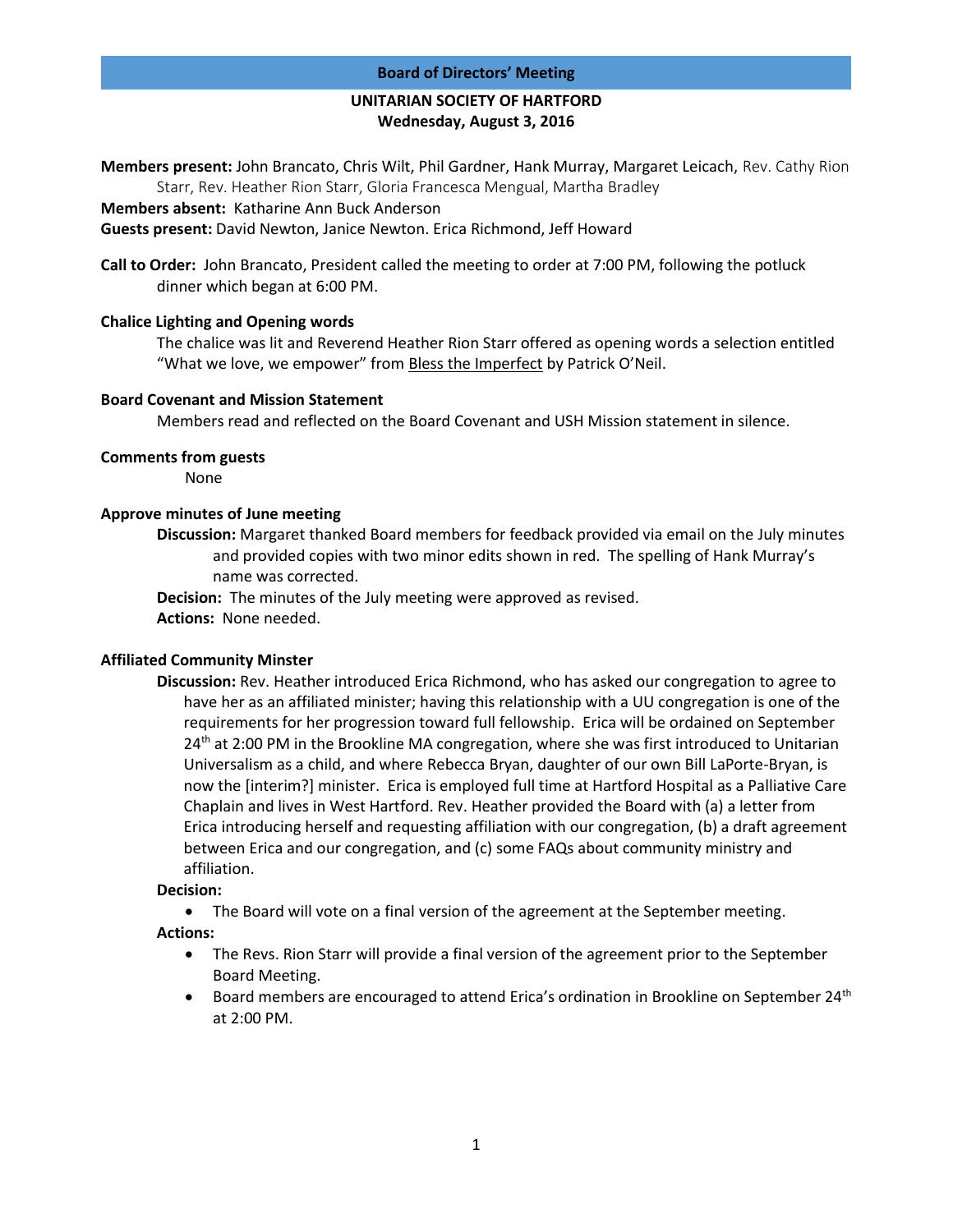### **Board of Directors' Meeting**

## **UNITARIAN SOCIETY OF HARTFORD Wednesday, August 3, 2016**

**Members present:** John Brancato, Chris Wilt, Phil Gardner, Hank Murray, Margaret Leicach, Rev. Cathy Rion Starr, Rev. Heather Rion Starr, Gloria Francesca Mengual, Martha Bradley

**Members absent:** Katharine Ann Buck Anderson

**Guests present:** David Newton, Janice Newton. Erica Richmond, Jeff Howard

**Call to Order:** John Brancato, President called the meeting to order at 7:00 PM, following the potluck dinner which began at 6:00 PM.

### **Chalice Lighting and Opening words**

The chalice was lit and Reverend Heather Rion Starr offered as opening words a selection entitled "What we love, we empower" from Bless the Imperfect by Patrick O'Neil.

#### **Board Covenant and Mission Statement**

Members read and reflected on the Board Covenant and USH Mission statement in silence.

#### **Comments from guests**

None

## **Approve minutes of June meeting**

**Discussion:** Margaret thanked Board members for feedback provided via email on the July minutes and provided copies with two minor edits shown in red. The spelling of Hank Murray's name was corrected.

**Decision:** The minutes of the July meeting were approved as revised. **Actions:** None needed.

### **Affiliated Community Minster**

**Discussion:** Rev. Heather introduced Erica Richmond, who has asked our congregation to agree to have her as an affiliated minister; having this relationship with a UU congregation is one of the requirements for her progression toward full fellowship. Erica will be ordained on September  $24<sup>th</sup>$  at 2:00 PM in the Brookline MA congregation, where she was first introduced to Unitarian Universalism as a child, and where Rebecca Bryan, daughter of our own Bill LaPorte-Bryan, is now the [interim?] minister. Erica is employed full time at Hartford Hospital as a Palliative Care Chaplain and lives in West Hartford. Rev. Heather provided the Board with (a) a letter from Erica introducing herself and requesting affiliation with our congregation, (b) a draft agreement between Erica and our congregation, and (c) some FAQs about community ministry and affiliation.

### **Decision:**

The Board will vote on a final version of the agreement at the September meeting.

**Actions:** 

- The Revs. Rion Starr will provide a final version of the agreement prior to the September Board Meeting.
- **•** Board members are encouraged to attend Erica's ordination in Brookline on September 24<sup>th</sup> at 2:00 PM.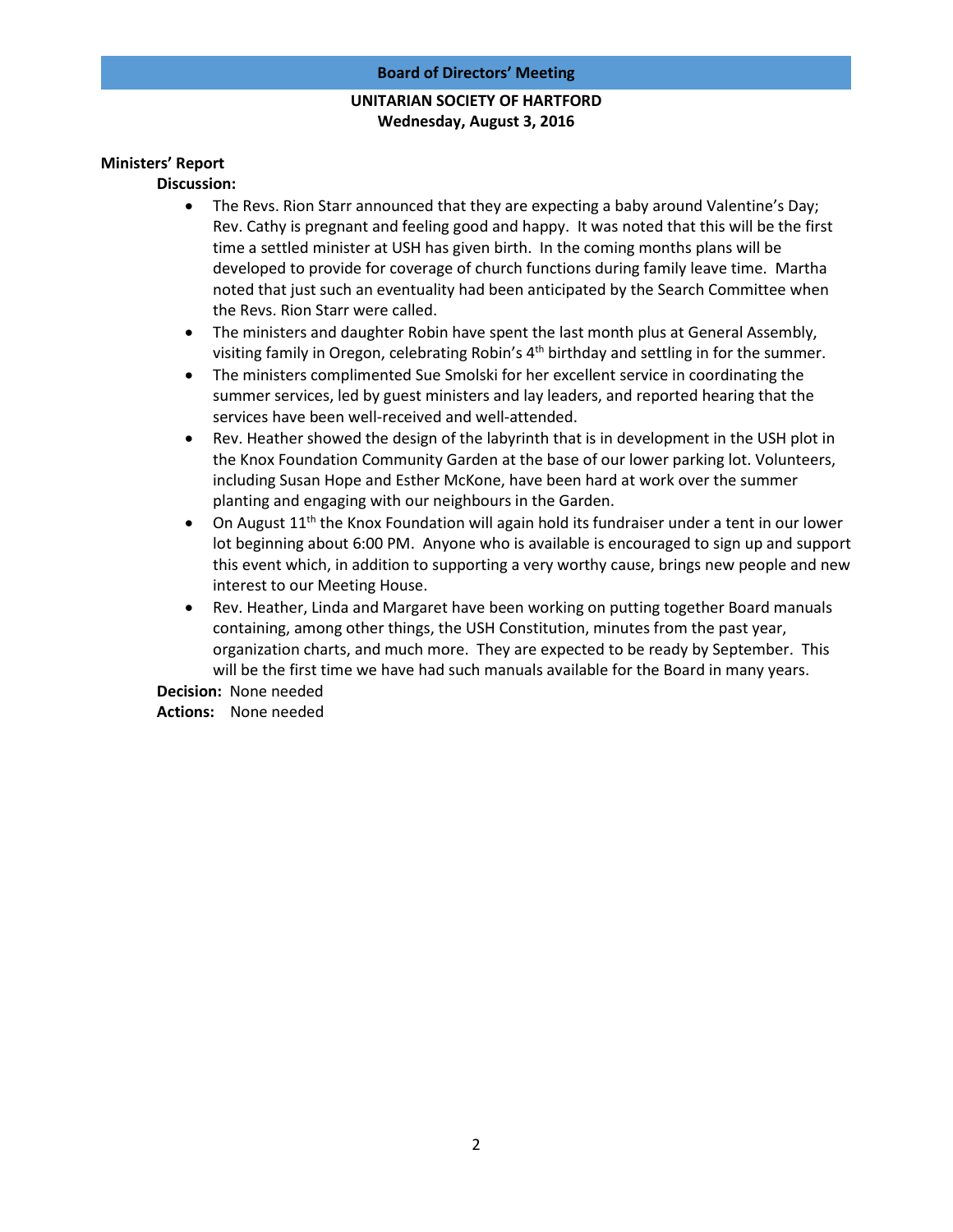# **UNITARIAN SOCIETY OF HARTFORD Wednesday, August 3, 2016**

### **Ministers' Report**

**Discussion:** 

- The Revs. Rion Starr announced that they are expecting a baby around Valentine's Day; Rev. Cathy is pregnant and feeling good and happy. It was noted that this will be the first time a settled minister at USH has given birth. In the coming months plans will be developed to provide for coverage of church functions during family leave time. Martha noted that just such an eventuality had been anticipated by the Search Committee when the Revs. Rion Starr were called.
- The ministers and daughter Robin have spent the last month plus at General Assembly, visiting family in Oregon, celebrating Robin's  $4<sup>th</sup>$  birthday and settling in for the summer.
- The ministers complimented Sue Smolski for her excellent service in coordinating the summer services, led by guest ministers and lay leaders, and reported hearing that the services have been well-received and well-attended.
- Rev. Heather showed the design of the labyrinth that is in development in the USH plot in the Knox Foundation Community Garden at the base of our lower parking lot. Volunteers, including Susan Hope and Esther McKone, have been hard at work over the summer planting and engaging with our neighbours in the Garden.
- On August  $11<sup>th</sup>$  the Knox Foundation will again hold its fundraiser under a tent in our lower lot beginning about 6:00 PM. Anyone who is available is encouraged to sign up and support this event which, in addition to supporting a very worthy cause, brings new people and new interest to our Meeting House.
- Rev. Heather, Linda and Margaret have been working on putting together Board manuals containing, among other things, the USH Constitution, minutes from the past year, organization charts, and much more. They are expected to be ready by September. This will be the first time we have had such manuals available for the Board in many years.

**Decision:** None needed **Actions:** None needed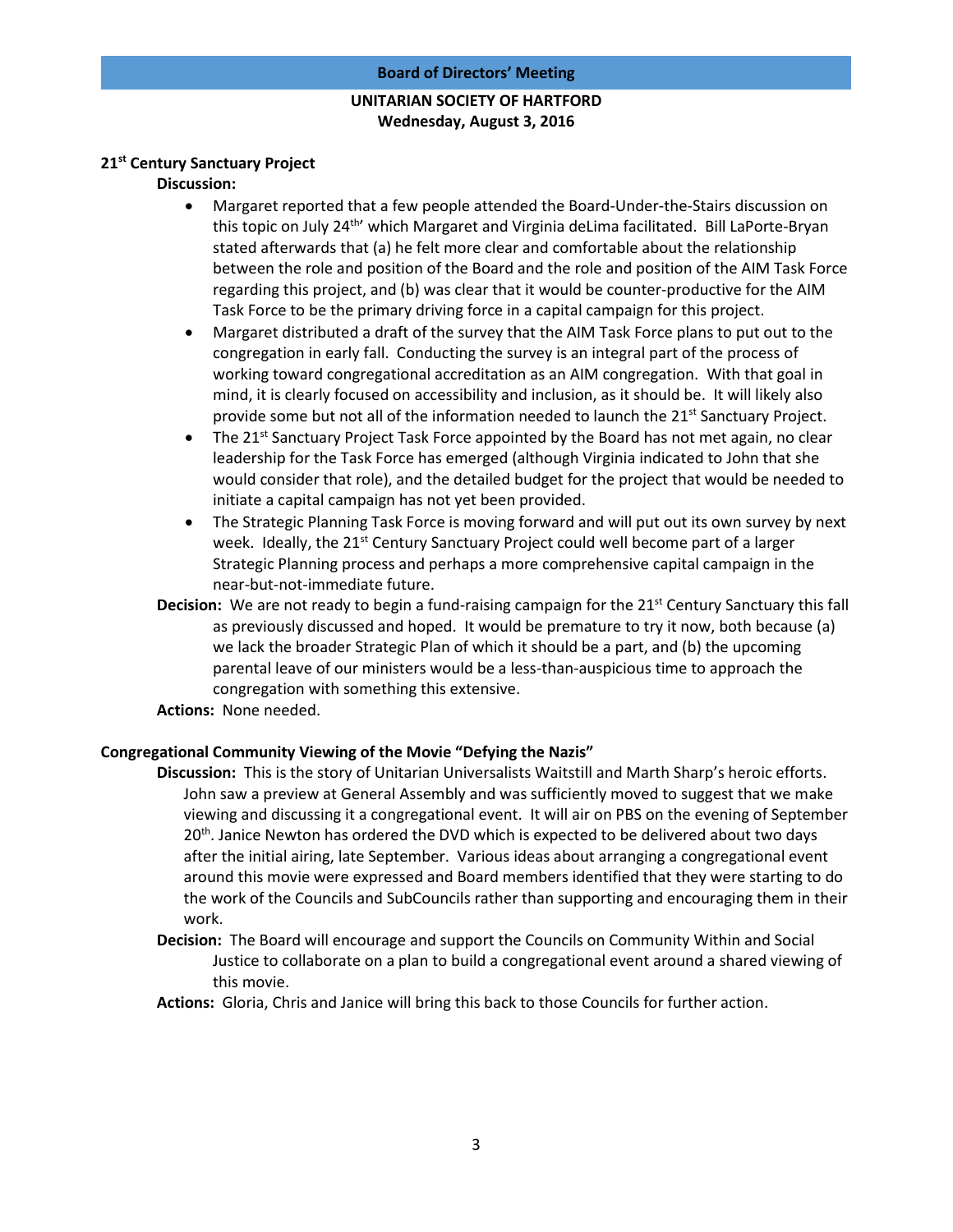### **Board of Directors' Meeting**

# **UNITARIAN SOCIETY OF HARTFORD Wednesday, August 3, 2016**

### **21st Century Sanctuary Project**

### **Discussion:**

- Margaret reported that a few people attended the Board-Under-the-Stairs discussion on this topic on July 24<sup>th</sup>' which Margaret and Virginia deLima facilitated. Bill LaPorte-Bryan stated afterwards that (a) he felt more clear and comfortable about the relationship between the role and position of the Board and the role and position of the AIM Task Force regarding this project, and (b) was clear that it would be counter-productive for the AIM Task Force to be the primary driving force in a capital campaign for this project.
- Margaret distributed a draft of the survey that the AIM Task Force plans to put out to the congregation in early fall. Conducting the survey is an integral part of the process of working toward congregational accreditation as an AIM congregation. With that goal in mind, it is clearly focused on accessibility and inclusion, as it should be. It will likely also provide some but not all of the information needed to launch the 21<sup>st</sup> Sanctuary Project.
- The 21<sup>st</sup> Sanctuary Project Task Force appointed by the Board has not met again, no clear leadership for the Task Force has emerged (although Virginia indicated to John that she would consider that role), and the detailed budget for the project that would be needed to initiate a capital campaign has not yet been provided.
- The Strategic Planning Task Force is moving forward and will put out its own survey by next week. Ideally, the 21<sup>st</sup> Century Sanctuary Project could well become part of a larger Strategic Planning process and perhaps a more comprehensive capital campaign in the near-but-not-immediate future.
- **Decision:** We are not ready to begin a fund-raising campaign for the 21<sup>st</sup> Century Sanctuary this fall as previously discussed and hoped. It would be premature to try it now, both because (a) we lack the broader Strategic Plan of which it should be a part, and (b) the upcoming parental leave of our ministers would be a less-than-auspicious time to approach the congregation with something this extensive.
- **Actions:** None needed.

### **Congregational Community Viewing of the Movie "Defying the Nazis"**

- **Discussion:** This is the story of Unitarian Universalists Waitstill and Marth Sharp's heroic efforts. John saw a preview at General Assembly and was sufficiently moved to suggest that we make viewing and discussing it a congregational event. It will air on PBS on the evening of September  $20<sup>th</sup>$ . Janice Newton has ordered the DVD which is expected to be delivered about two days after the initial airing, late September. Various ideas about arranging a congregational event around this movie were expressed and Board members identified that they were starting to do the work of the Councils and SubCouncils rather than supporting and encouraging them in their work.
- **Decision:** The Board will encourage and support the Councils on Community Within and Social Justice to collaborate on a plan to build a congregational event around a shared viewing of this movie.
- **Actions:** Gloria, Chris and Janice will bring this back to those Councils for further action.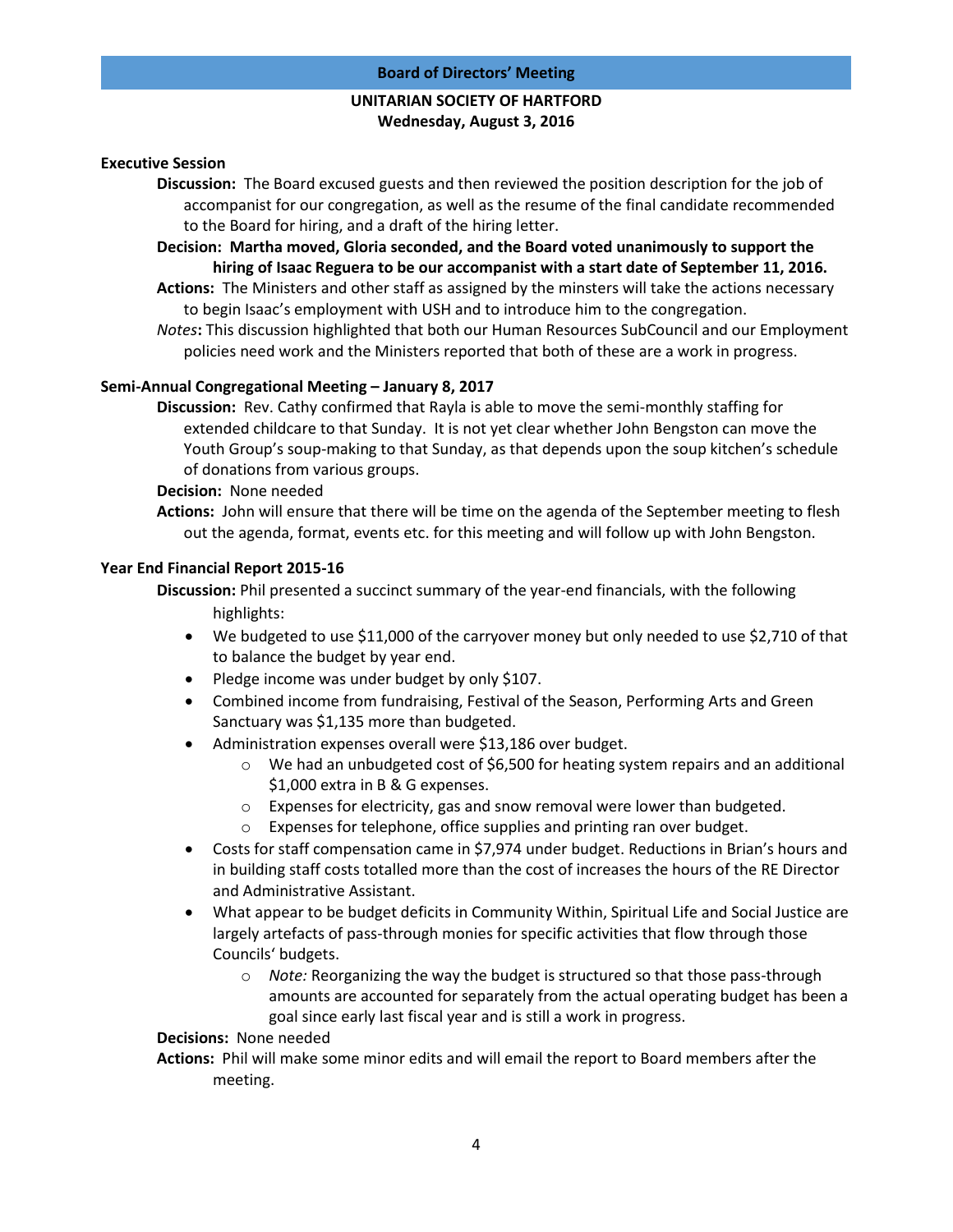# **UNITARIAN SOCIETY OF HARTFORD Wednesday, August 3, 2016**

### **Executive Session**

- **Discussion:** The Board excused guests and then reviewed the position description for the job of accompanist for our congregation, as well as the resume of the final candidate recommended to the Board for hiring, and a draft of the hiring letter.
- **Decision: Martha moved, Gloria seconded, and the Board voted unanimously to support the hiring of Isaac Reguera to be our accompanist with a start date of September 11, 2016.**
- **Actions:** The Ministers and other staff as assigned by the minsters will take the actions necessary to begin Isaac's employment with USH and to introduce him to the congregation.
- *Notes***:** This discussion highlighted that both our Human Resources SubCouncil and our Employment policies need work and the Ministers reported that both of these are a work in progress.

### **Semi-Annual Congregational Meeting – January 8, 2017**

**Discussion:** Rev. Cathy confirmed that Rayla is able to move the semi-monthly staffing for extended childcare to that Sunday. It is not yet clear whether John Bengston can move the Youth Group's soup-making to that Sunday, as that depends upon the soup kitchen's schedule of donations from various groups.

### **Decision:** None needed

**Actions:** John will ensure that there will be time on the agenda of the September meeting to flesh out the agenda, format, events etc. for this meeting and will follow up with John Bengston.

### **Year End Financial Report 2015-16**

**Discussion:** Phil presented a succinct summary of the year-end financials, with the following highlights:

- We budgeted to use \$11,000 of the carryover money but only needed to use \$2,710 of that to balance the budget by year end.
- Pledge income was under budget by only \$107.
- Combined income from fundraising, Festival of the Season, Performing Arts and Green Sanctuary was \$1,135 more than budgeted.
- Administration expenses overall were \$13,186 over budget.
	- $\circ$  We had an unbudgeted cost of \$6,500 for heating system repairs and an additional \$1,000 extra in B & G expenses.
	- $\circ$  Expenses for electricity, gas and snow removal were lower than budgeted.
	- o Expenses for telephone, office supplies and printing ran over budget.
- Costs for staff compensation came in \$7,974 under budget. Reductions in Brian's hours and in building staff costs totalled more than the cost of increases the hours of the RE Director and Administrative Assistant.
- What appear to be budget deficits in Community Within, Spiritual Life and Social Justice are largely artefacts of pass-through monies for specific activities that flow through those Councils' budgets.
	- o *Note:* Reorganizing the way the budget is structured so that those pass-through amounts are accounted for separately from the actual operating budget has been a goal since early last fiscal year and is still a work in progress.

## **Decisions:** None needed

**Actions:** Phil will make some minor edits and will email the report to Board members after the meeting.